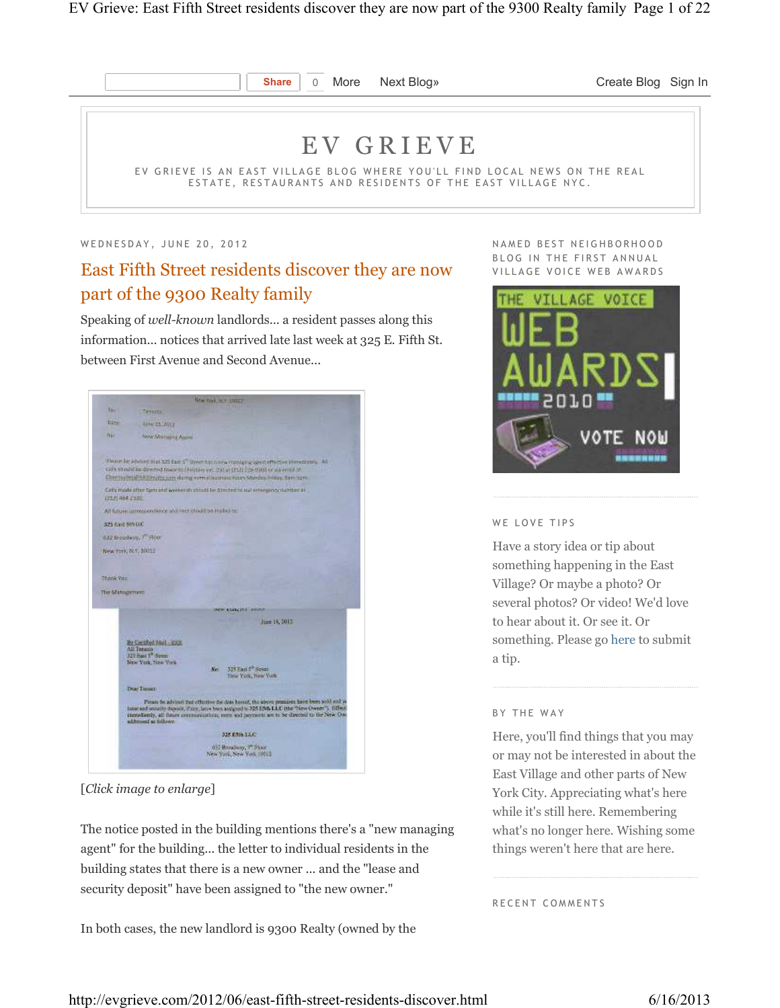

WEDNESDAY, JUNE 20, 2012

# East Fifth Street residents discover they are now part of the 9300 Realty family

Speaking of *well-known* landlords... a resident passes along this information... notices that arrived late last week at 325 E. Fifth St. between First Avenue and Second Avenue...

|                  | New York, as a litter of                                                                                                                                                                                                                                                                                                               |
|------------------|----------------------------------------------------------------------------------------------------------------------------------------------------------------------------------------------------------------------------------------------------------------------------------------------------------------------------------------|
| THE <sub>1</sub> | Teranta                                                                                                                                                                                                                                                                                                                                |
| <b>Bitte</b>     | <b>AMAZES 20014</b>                                                                                                                                                                                                                                                                                                                    |
| Film             | New Mariager Awell                                                                                                                                                                                                                                                                                                                     |
|                  |                                                                                                                                                                                                                                                                                                                                        |
|                  | those be alward mat \$25 fast \$7 inventor new moderns cent effective meetings. All<br>Gill's should be directed to say that limit in yet. (50 at DAI) and 6500 or was emit of<br>Chermatien/Philoshealty.com during normalizations hours Mandos Prints, Semitors,                                                                     |
|                  | Calls made after Sprit and weekends should be directed to suit echange occupitant at<br>(212) 464-23.02                                                                                                                                                                                                                                |
|                  | All futuro compositivities whill rest choold be malled bit.                                                                                                                                                                                                                                                                            |
|                  | 325 ESIZ SIVILIO                                                                                                                                                                                                                                                                                                                       |
|                  | 432 Broadway, T. Floor                                                                                                                                                                                                                                                                                                                 |
|                  | New Park, N.Y. 10012                                                                                                                                                                                                                                                                                                                   |
|                  |                                                                                                                                                                                                                                                                                                                                        |
| Thank You        |                                                                                                                                                                                                                                                                                                                                        |
|                  | The Matagement<br><b>DEM CORCELL ANGER</b>                                                                                                                                                                                                                                                                                             |
|                  | Tune 14, 2013                                                                                                                                                                                                                                                                                                                          |
|                  | By Carifiel Mill-EXX<br>AB Tennis<br>323 East 3 <sup>9</sup> Street.<br>New York, New York<br>335 Fart 5 <sup>th</sup> Strikes<br><b>Rec</b><br>Your York, New York                                                                                                                                                                    |
|                  |                                                                                                                                                                                                                                                                                                                                        |
|                  | Diar Timer<br>Please be advised mat effective the data hance, the above purceled have been sold und yo<br>inter and excepts depenin, if you have been assigned to 325 \$365 LLC (the "New Owner"). Effect,<br>impactantly, all flaure createralizations, reported proposate are to be directed to the New Ore<br>addressed as follows: |
|                  | 315 E59 31 C                                                                                                                                                                                                                                                                                                                           |

[*Click image to enlarge*]

The notice posted in the building mentions there's a "new managing agent" for the building... the letter to individual residents in the building states that there is a new owner ... and the "lease and security deposit" have been assigned to "the new owner."

In both cases, the new landlord is 9300 Realty (owned by the

NAMED BEST NEIGHBORHOOD BLOG IN THE FIRST ANNUAL VILLAGE VOICE WEB AWARDS



#### WE LOVE TIPS

Have a story idea or tip about something happening in the East Village? Or maybe a photo? Or several photos? Or video! We'd love to hear about it. Or see it. Or something. Please go here to submit a tip.

### BY THE WAY

Here, you'll find things that you may or may not be interested in about the East Village and other parts of New York City. Appreciating what's here while it's still here. Remembering what's no longer here. Wishing some things weren't here that are here.

RECENT COMMENTS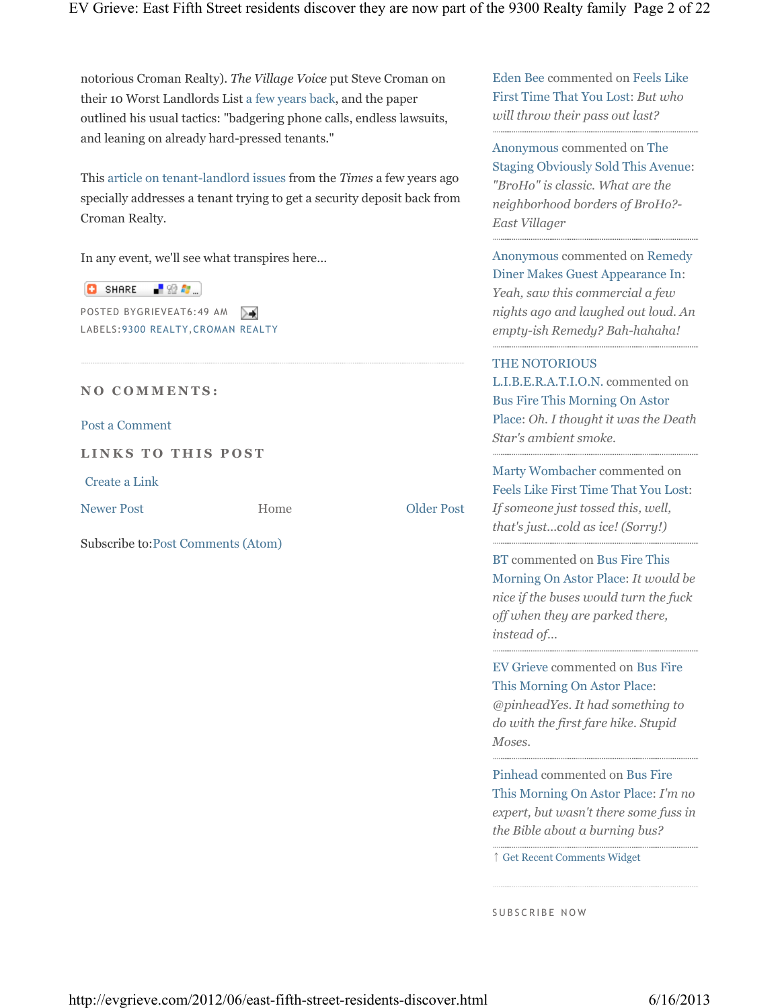notorious Croman Realty). *The Village Voice* put Steve Croman on their 10 Worst Landlords List a few years back, and the paper outlined his usual tactics: "badgering phone calls, endless lawsuits, and leaning on already hard-pressed tenants."

This article on tenant-landlord issues from the *Times* a few years ago specially addresses a tenant trying to get a security deposit back from Croman Realty.

In any event, we'll see what transpires here...

- 825. **C** SHARE

POSTED BYGRIEVEAT6:49 AM LABELS:9300 REALTY,CROMAN REALTY

### **N O C O M M E N T S :**

Post a Comment

**LINKS TO THIS POST** 

Create a Link

Newer Post Older Post

Home

Subscribe to:Post Comments (Atom)

Eden Bee commented on Feels Like First Time That You Lost: *But who will throw their pass out last?*

Anonymous commented on The Staging Obviously Sold This Avenue: *"BroHo" is classic. What are the neighborhood borders of BroHo?- East Villager*

Anonymous commented on Remedy Diner Makes Guest Appearance In: *Yeah, saw this commercial a few nights ago and laughed out loud. An empty-ish Remedy? Bah-hahaha!*

#### THE NOTORIOUS

L.I.B.E.R.A.T.I.O.N. commented on Bus Fire This Morning On Astor Place: *Oh. I thought it was the Death Star's ambient smoke.*

Marty Wombacher commented on Feels Like First Time That You Lost: *If someone just tossed this, well, that's just...cold as ice! (Sorry!)*

BT commented on Bus Fire This Morning On Astor Place: *It would be nice if the buses would turn the fuck off when they are parked there, instead of…*

EV Grieve commented on Bus Fire This Morning On Astor Place: *@pinheadYes. It had something to do with the first fare hike. Stupid Moses.*

Pinhead commented on Bus Fire This Morning On Astor Place: *I'm no expert, but wasn't there some fuss in the Bible about a burning bus?*

↑ Get Recent Comments Widget

SUBSCRIBE NOW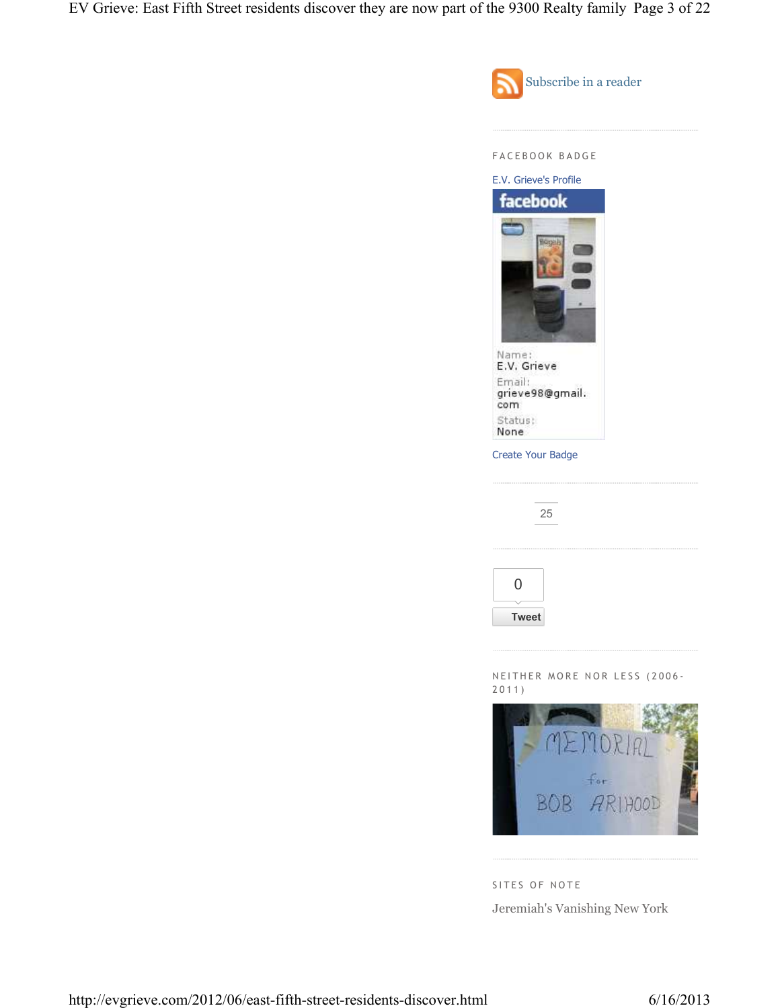EV Grieve: East Fifth Street residents discover they are now part of the 9300 Realty family Page 3 of 22



SITES OF NOTE Jeremiah's Vanishing New York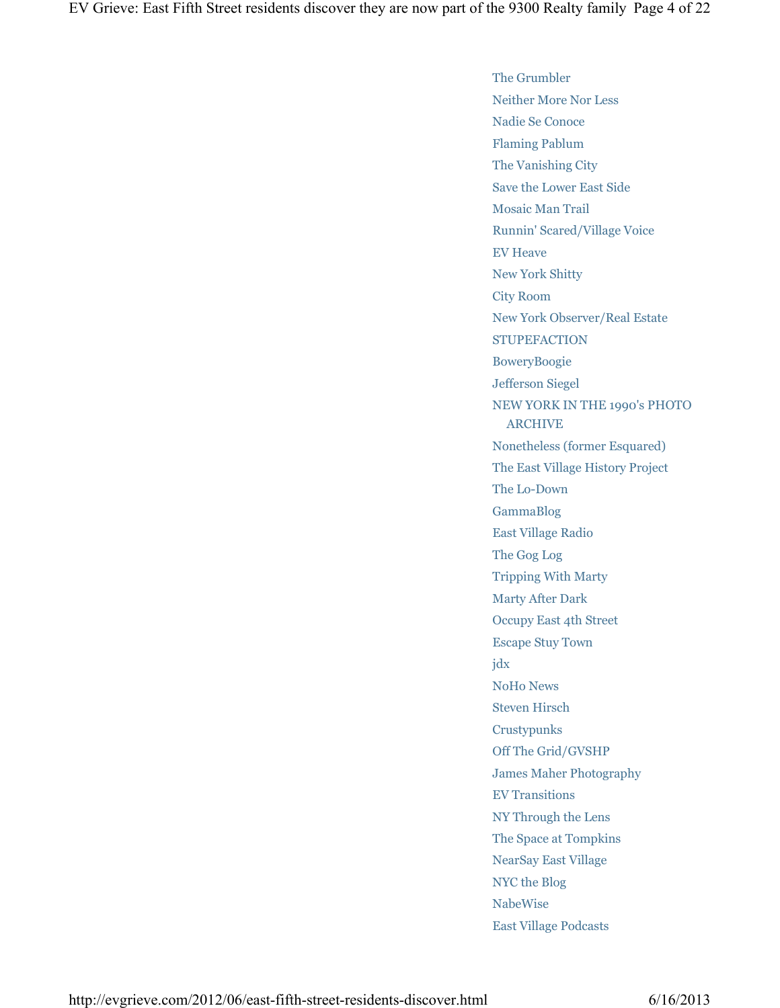The Grumbler Neither More Nor Less Nadie Se Conoce Flaming Pablum The Vanishing City Save the Lower East Side Mosaic Man Trail Runnin' Scared/Village Voice EV Heave New York Shitty City Room New York Observer/Real Estate **STUPEFACTION** BoweryBoogie Jefferson Siegel NEW YORK IN THE 1990's PHOTO ARCHIVE Nonetheless (former Esquared) The East Village History Project The Lo-Down GammaBlog East Village Radio The Gog Log Tripping With Marty Marty After Dark Occupy East 4th Street Escape Stuy Town jdx NoHo News Steven Hirsch **Crustypunks** Off The Grid/GVSHP James Maher Photography EV Transitions NY Through the Lens The Space at Tompkins NearSay East Village NYC the Blog NabeWise East Village Podcasts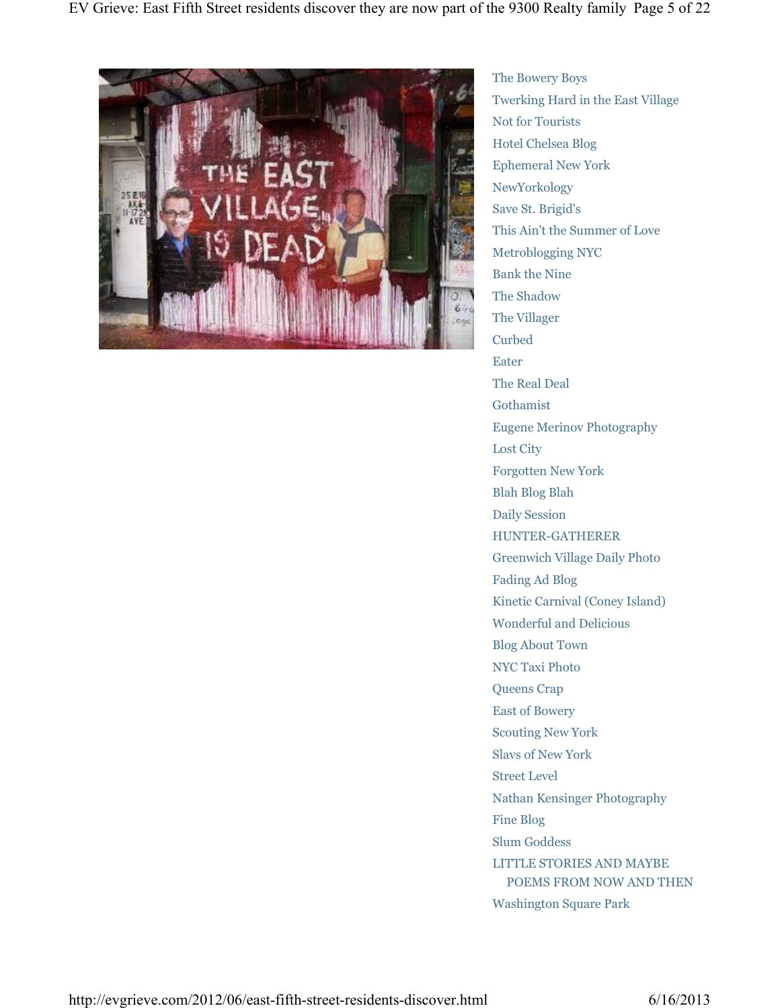

The Bowery Boys Twerking Hard in the East Village Not for Tourists Hotel Chelsea Blog Ephemeral New York NewYorkology Save St. Brigid's This Ain't the Summer of Love Metroblogging NYC Bank the Nine The Shadow The Villager Curbed Eater The Real Deal Gothamist Eugene Merinov Photography Lost City Forgotten New York Blah Blog Blah Daily Session HUNTER-GATHERER Greenwich Village Daily Photo Fading Ad Blog Kinetic Carnival (Coney Island) Wonderful and Delicious Blog About Town NYC Taxi Photo Queens Crap East of Bowery Scouting New York Slavs of New York Street Level Nathan Kensinger Photography Fine Blog Slum Goddess LITTLE STORIES AND MAYBE POEMS FROM NOW AND THEN Washington Square Park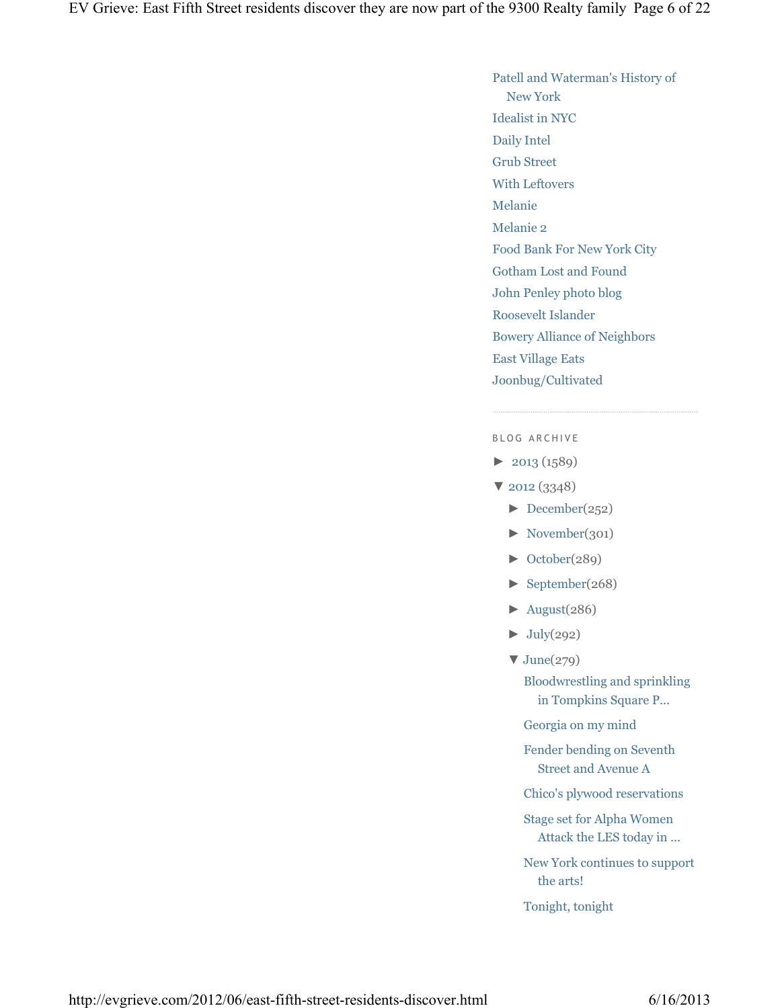# Patell and Waterman's History of New York Idealist in NYC Daily Intel Grub Street With Leftovers Melanie Melanie 2 Food Bank For New York City Gotham Lost and Found John Penley photo blog Roosevelt Islander Bowery Alliance of Neighbors East Village Eats Joonbug/Cultivated

### BLOG ARCHIVE

- ► 2013 (1589)
- ▼ 2012 (3348)
	- $\blacktriangleright$  December(252)
	- ► November(301)
	- ► October(289)
	- ► September(268)
	- $\blacktriangleright$  August(286)
	- $\blacktriangleright$  July(292)
	- $\nabla$  June(279)

Bloodwrestling and sprinkling in Tompkins Square P...

Georgia on my mind

Fender bending on Seventh Street and Avenue A

Chico's plywood reservations

Stage set for Alpha Women Attack the LES today in ...

New York continues to support the arts!

Tonight, tonight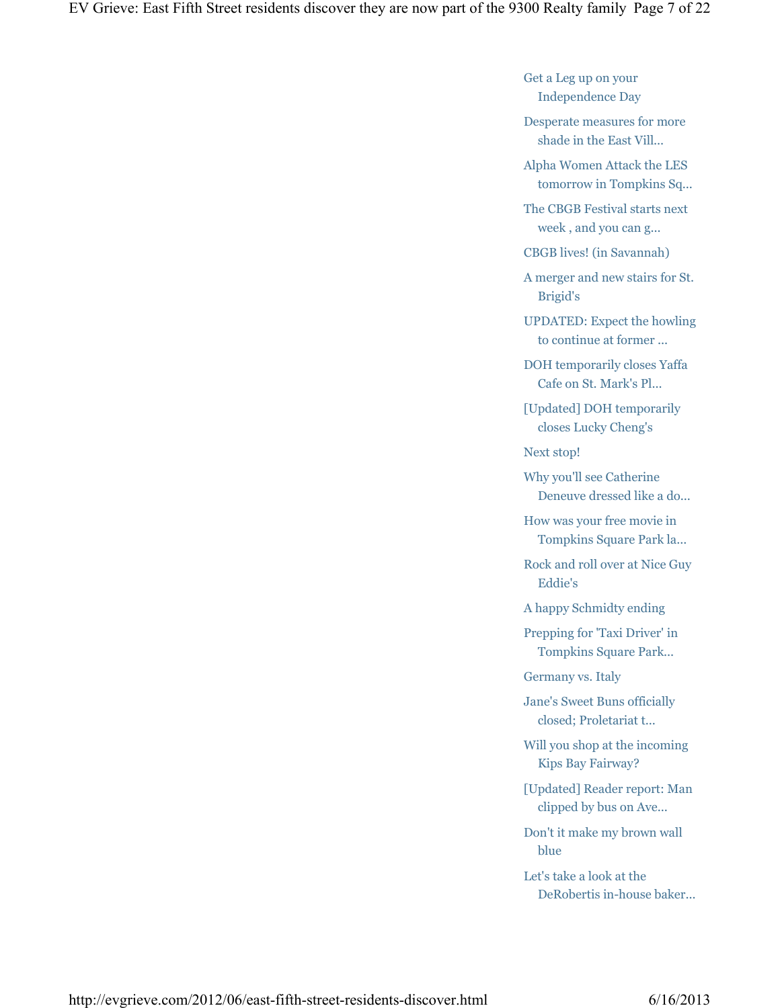Get a Leg up on your Independence Day

Desperate measures for more shade in the East Vill...

Alpha Women Attack the LES tomorrow in Tompkins Sq...

The CBGB Festival starts next week , and you can g...

CBGB lives! (in Savannah)

A merger and new stairs for St. Brigid's

UPDATED: Expect the howling to continue at former ...

DOH temporarily closes Yaffa Cafe on St. Mark's Pl...

[Updated] DOH temporarily closes Lucky Cheng's

Next stop!

Why you'll see Catherine Deneuve dressed like a do...

How was your free movie in Tompkins Square Park la...

Rock and roll over at Nice Guy Eddie's

A happy Schmidty ending

Prepping for 'Taxi Driver' in Tompkins Square Park...

Germany vs. Italy

Jane's Sweet Buns officially closed; Proletariat t...

Will you shop at the incoming Kips Bay Fairway?

[Updated] Reader report: Man clipped by bus on Ave...

Don't it make my brown wall blue

Let's take a look at the DeRobertis in-house baker...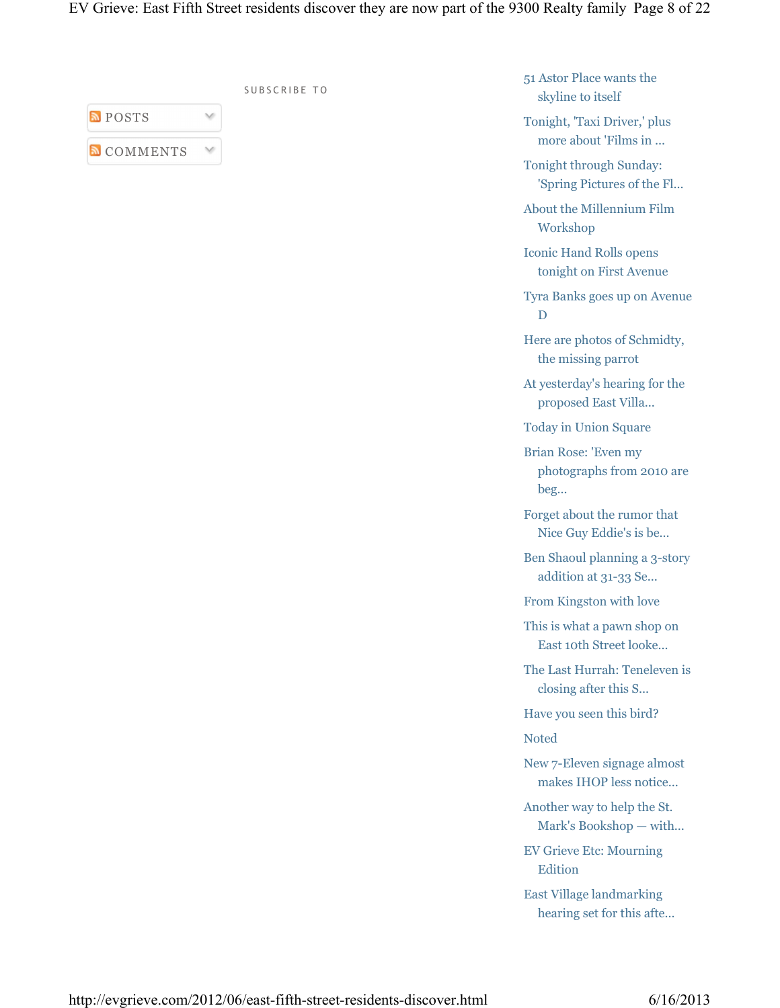EV Grieve: East Fifth Street residents discover they are now part of the 9300 Realty family Page 8 of 22

| SUBS. |
|-------|
|       |
|       |
|       |

U B S C R I B E T O

51 Astor Place wants the skyline to itself

Tonight, 'Taxi Driver,' plus more about 'Films in ...

Tonight through Sunday: 'Spring Pictures of the Fl...

About the Millennium Film Workshop

Iconic Hand Rolls opens tonight on First Avenue

Tyra Banks goes up on Avenue D

Here are photos of Schmidty, the missing parrot

At yesterday's hearing for the proposed East Villa...

Today in Union Square

Brian Rose: 'Even my photographs from 2010 are beg...

Forget about the rumor that Nice Guy Eddie's is be...

Ben Shaoul planning a 3-story addition at 31-33 Se...

From Kingston with love

This is what a pawn shop on East 10th Street looke...

The Last Hurrah: Teneleven is closing after this S...

Have you seen this bird?

Noted

New 7-Eleven signage almost makes IHOP less notice...

Another way to help the St. Mark's Bookshop — with...

EV Grieve Etc: Mourning Edition

East Village landmarking hearing set for this afte...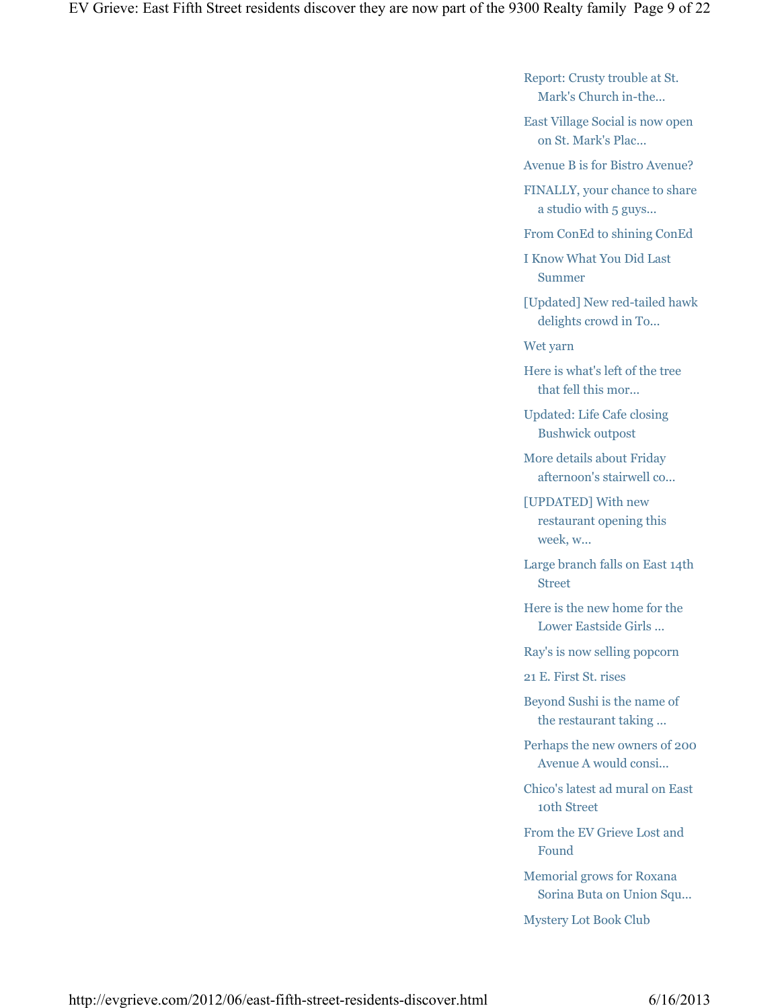Report: Crusty trouble at St. Mark's Church in-the...

East Village Social is now open on St. Mark's Plac...

Avenue B is for Bistro Avenue?

FINALLY, your chance to share a studio with 5 guys...

From ConEd to shining ConEd

I Know What You Did Last Summer

[Updated] New red-tailed hawk delights crowd in To...

Wet yarn

Here is what's left of the tree that fell this mor...

Updated: Life Cafe closing Bushwick outpost

More details about Friday afternoon's stairwell co...

[UPDATED] With new restaurant opening this week, w...

Large branch falls on East 14th Street

Here is the new home for the Lower Eastside Girls ...

Ray's is now selling popcorn

21 E. First St. rises

Beyond Sushi is the name of the restaurant taking ...

Perhaps the new owners of 200 Avenue A would consi...

Chico's latest ad mural on East 10th Street

From the EV Grieve Lost and Found

Memorial grows for Roxana Sorina Buta on Union Squ...

Mystery Lot Book Club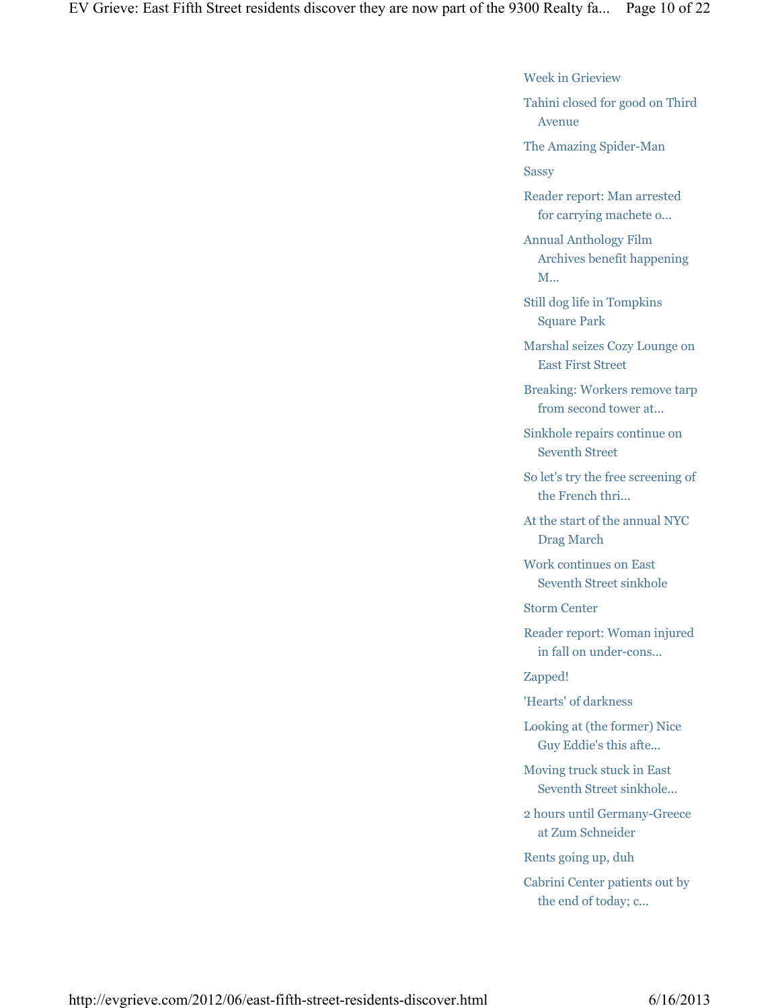Week in Grieview

Tahini closed for good on Third Avenue

The Amazing Spider-Man

**Sassy** 

Reader report: Man arrested for carrying machete o...

Annual Anthology Film Archives benefit happening M...

Still dog life in Tompkins Square Park

Marshal seizes Cozy Lounge on East First Street

Breaking: Workers remove tarp from second tower at...

Sinkhole repairs continue on Seventh Street

So let's try the free screening of the French thri...

At the start of the annual NYC Drag March

Work continues on East Seventh Street sinkhole

Storm Center

Reader report: Woman injured in fall on under-cons...

Zapped!

'Hearts' of darkness

Looking at (the former) Nice Guy Eddie's this afte...

Moving truck stuck in East Seventh Street sinkhole...

2 hours until Germany-Greece at Zum Schneider

Rents going up, duh

Cabrini Center patients out by the end of today; c...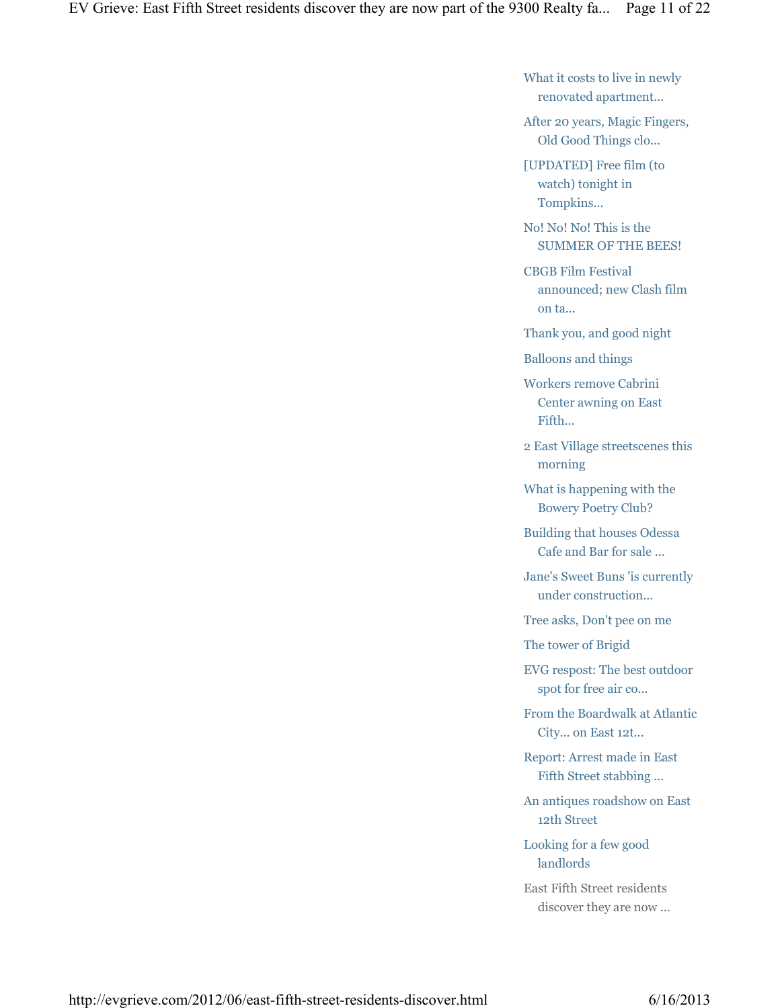What it costs to live in newly renovated apartment...

After 20 years, Magic Fingers, Old Good Things clo...

[UPDATED] Free film (to watch) tonight in Tompkins...

No! No! No! This is the SUMMER OF THE BEES!

CBGB Film Festival announced; new Clash film on ta...

Thank you, and good night

Balloons and things

Workers remove Cabrini Center awning on East Fifth...

2 East Village streetscenes this morning

What is happening with the Bowery Poetry Club?

Building that houses Odessa Cafe and Bar for sale ...

Jane's Sweet Buns 'is currently under construction...

Tree asks, Don't pee on me

The tower of Brigid

EVG respost: The best outdoor spot for free air co...

From the Boardwalk at Atlantic City... on East 12t...

Report: Arrest made in East Fifth Street stabbing ...

An antiques roadshow on East 12th Street

Looking for a few good landlords

East Fifth Street residents discover they are now ...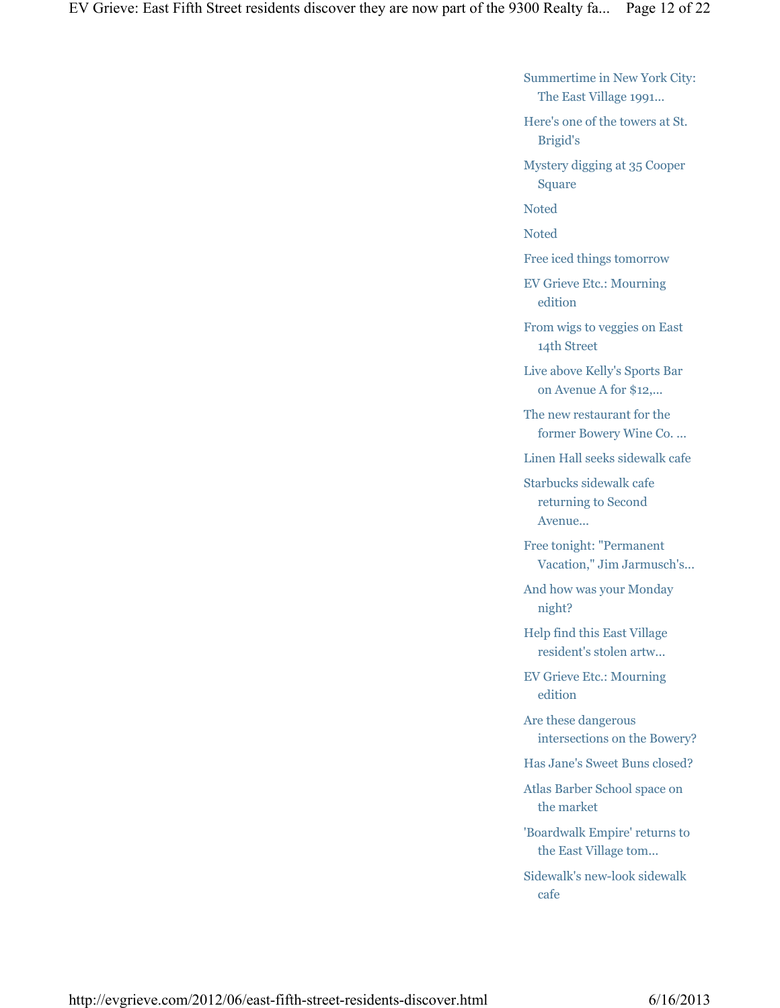Summertime in New York City: The East Village 1991...

Here's one of the towers at St. Brigid's

Mystery digging at 35 Cooper Square

Noted

Noted

Free iced things tomorrow

EV Grieve Etc.: Mourning edition

From wigs to veggies on East 14th Street

Live above Kelly's Sports Bar on Avenue A for \$12,...

The new restaurant for the former Bowery Wine Co. ...

Linen Hall seeks sidewalk cafe

Starbucks sidewalk cafe returning to Second Avenue...

Free tonight: "Permanent Vacation," Jim Jarmusch's...

And how was your Monday night?

Help find this East Village resident's stolen artw...

EV Grieve Etc.: Mourning edition

Are these dangerous intersections on the Bowery?

Has Jane's Sweet Buns closed?

Atlas Barber School space on the market

'Boardwalk Empire' returns to the East Village tom...

Sidewalk's new-look sidewalk cafe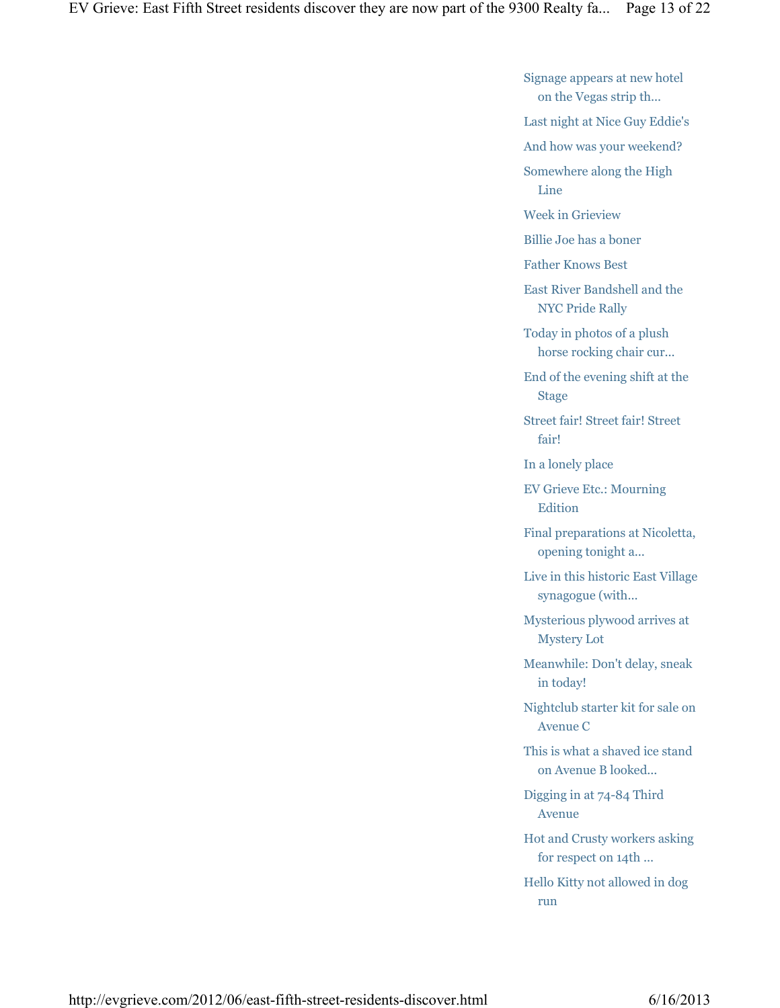Signage appears at new hotel on the Vegas strip th...

Last night at Nice Guy Eddie's

And how was your weekend?

Somewhere along the High Line

Week in Grieview

Billie Joe has a boner

Father Knows Best

East River Bandshell and the NYC Pride Rally

Today in photos of a plush horse rocking chair cur...

End of the evening shift at the Stage

Street fair! Street fair! Street fair!

In a lonely place

EV Grieve Etc.: Mourning **Edition** 

Final preparations at Nicoletta, opening tonight a...

Live in this historic East Village synagogue (with...

Mysterious plywood arrives at Mystery Lot

Meanwhile: Don't delay, sneak in today!

Nightclub starter kit for sale on Avenue C

This is what a shaved ice stand on Avenue B looked...

Digging in at 74-84 Third Avenue

Hot and Crusty workers asking for respect on 14th ...

Hello Kitty not allowed in dog run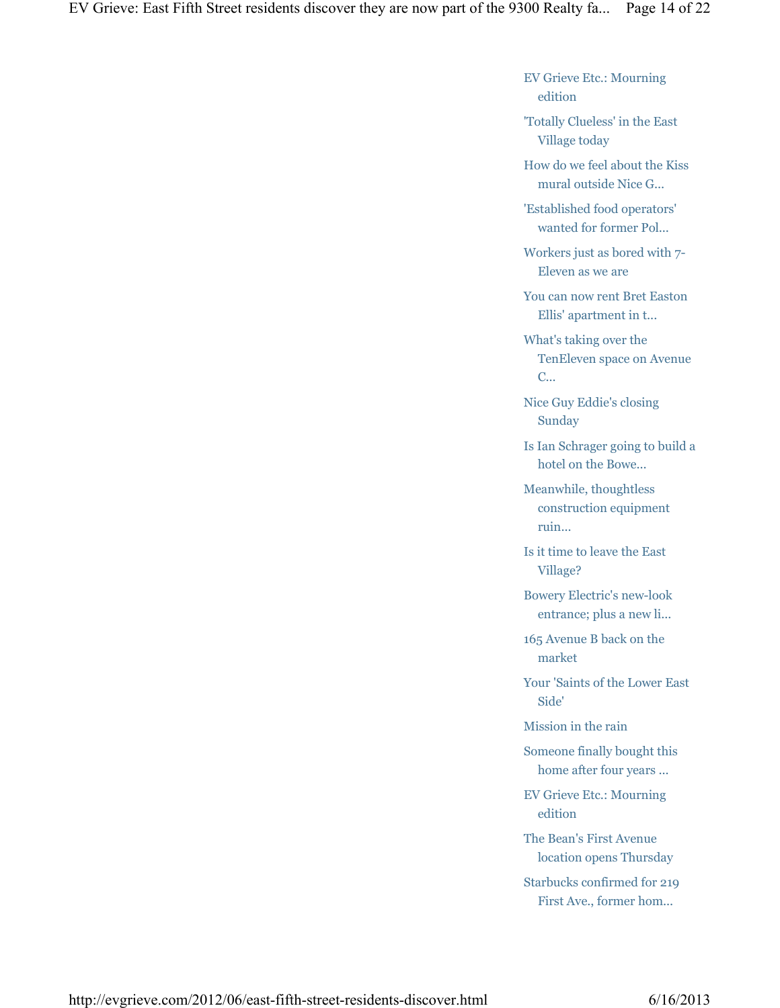EV Grieve Etc.: Mourning edition

'Totally Clueless' in the East Village today

How do we feel about the Kiss mural outside Nice G...

'Established food operators' wanted for former Pol...

Workers just as bored with 7- Eleven as we are

You can now rent Bret Easton Ellis' apartment in t...

- What's taking over the TenEleven space on Avenue C...
- Nice Guy Eddie's closing Sunday

Is Ian Schrager going to build a hotel on the Bowe...

Meanwhile, thoughtless construction equipment ruin...

Is it time to leave the East Village?

Bowery Electric's new-look entrance; plus a new li...

165 Avenue B back on the market

Your 'Saints of the Lower East Side'

Mission in the rain

Someone finally bought this home after four years ...

EV Grieve Etc.: Mourning edition

The Bean's First Avenue location opens Thursday

Starbucks confirmed for 219 First Ave., former hom...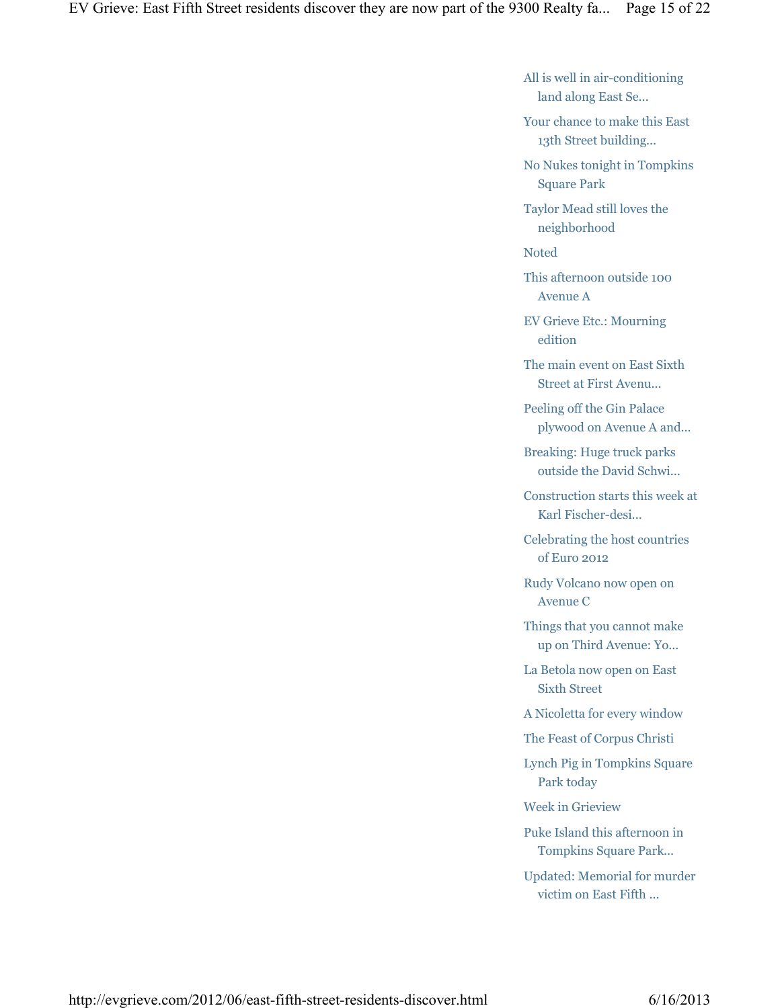All is well in air-conditioning land along East Se...

Your chance to make this East 13th Street building...

No Nukes tonight in Tompkins Square Park

Taylor Mead still loves the neighborhood

Noted

This afternoon outside 100 Avenue A

EV Grieve Etc.: Mourning edition

The main event on East Sixth Street at First Avenu...

Peeling off the Gin Palace plywood on Avenue A and...

Breaking: Huge truck parks outside the David Schwi...

Construction starts this week at Karl Fischer-desi...

Celebrating the host countries of Euro 2012

Rudy Volcano now open on Avenue C

Things that you cannot make up on Third Avenue: Yo...

La Betola now open on East Sixth Street

A Nicoletta for every window

The Feast of Corpus Christi

Lynch Pig in Tompkins Square Park today

Week in Grieview

Puke Island this afternoon in Tompkins Square Park...

Updated: Memorial for murder victim on East Fifth ...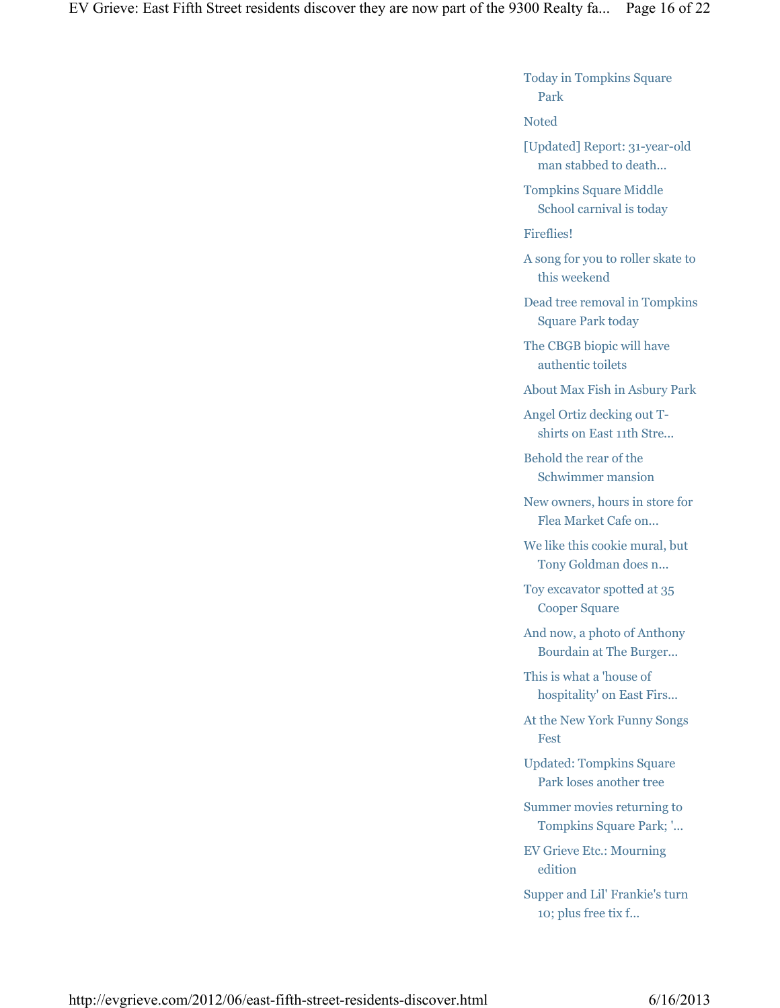Today in Tompkins Square Park

Noted

[Updated] Report: 31-year-old man stabbed to death...

Tompkins Square Middle School carnival is today

Fireflies!

A song for you to roller skate to this weekend

Dead tree removal in Tompkins Square Park today

The CBGB biopic will have authentic toilets

About Max Fish in Asbury Park

Angel Ortiz decking out Tshirts on East 11th Stre...

Behold the rear of the Schwimmer mansion

New owners, hours in store for Flea Market Cafe on...

We like this cookie mural, but Tony Goldman does n...

Toy excavator spotted at 35 Cooper Square

And now, a photo of Anthony Bourdain at The Burger...

This is what a 'house of hospitality' on East Firs...

At the New York Funny Songs Fest

Updated: Tompkins Square Park loses another tree

Summer movies returning to Tompkins Square Park; '...

EV Grieve Etc.: Mourning edition

Supper and Lil' Frankie's turn 10; plus free tix f...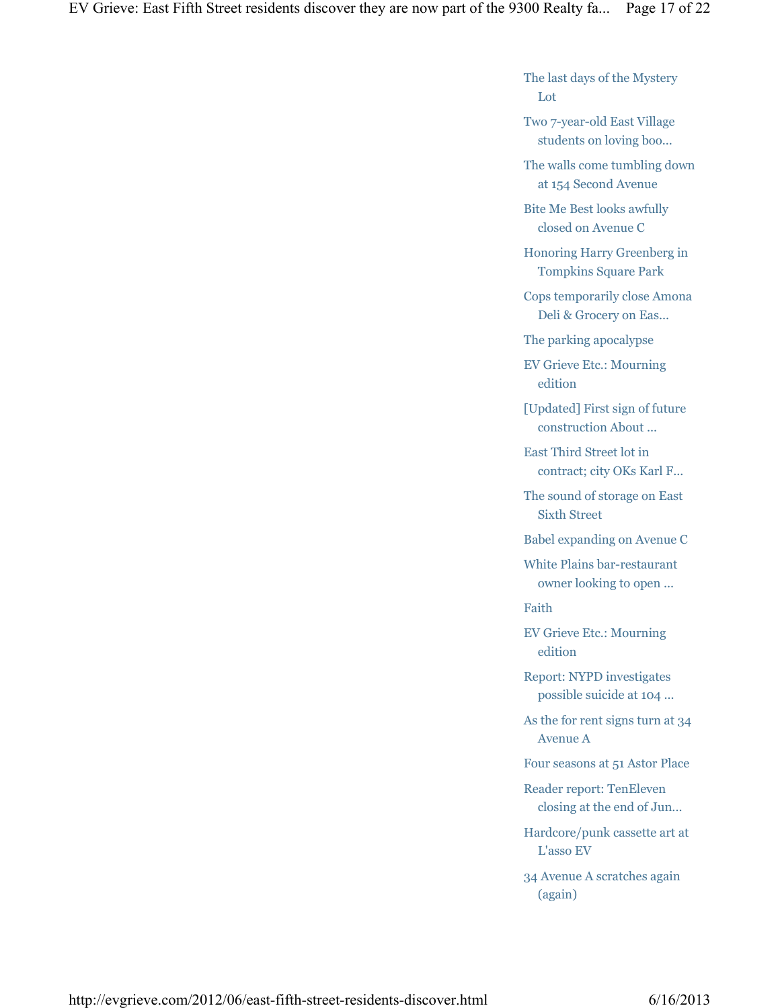The last days of the Mystery Lot

Two 7-year-old East Village students on loving boo...

The walls come tumbling down at 154 Second Avenue

Bite Me Best looks awfully closed on Avenue C

Honoring Harry Greenberg in Tompkins Square Park

Cops temporarily close Amona Deli & Grocery on Eas...

The parking apocalypse

EV Grieve Etc.: Mourning edition

[Updated] First sign of future construction About ...

East Third Street lot in contract; city OKs Karl F...

The sound of storage on East Sixth Street

Babel expanding on Avenue C

White Plains bar-restaurant owner looking to open ...

Faith

EV Grieve Etc.: Mourning edition

Report: NYPD investigates possible suicide at 104 ...

As the for rent signs turn at 34 Avenue A

Four seasons at 51 Astor Place

Reader report: TenEleven closing at the end of Jun...

Hardcore/punk cassette art at L'asso EV

34 Avenue A scratches again (again)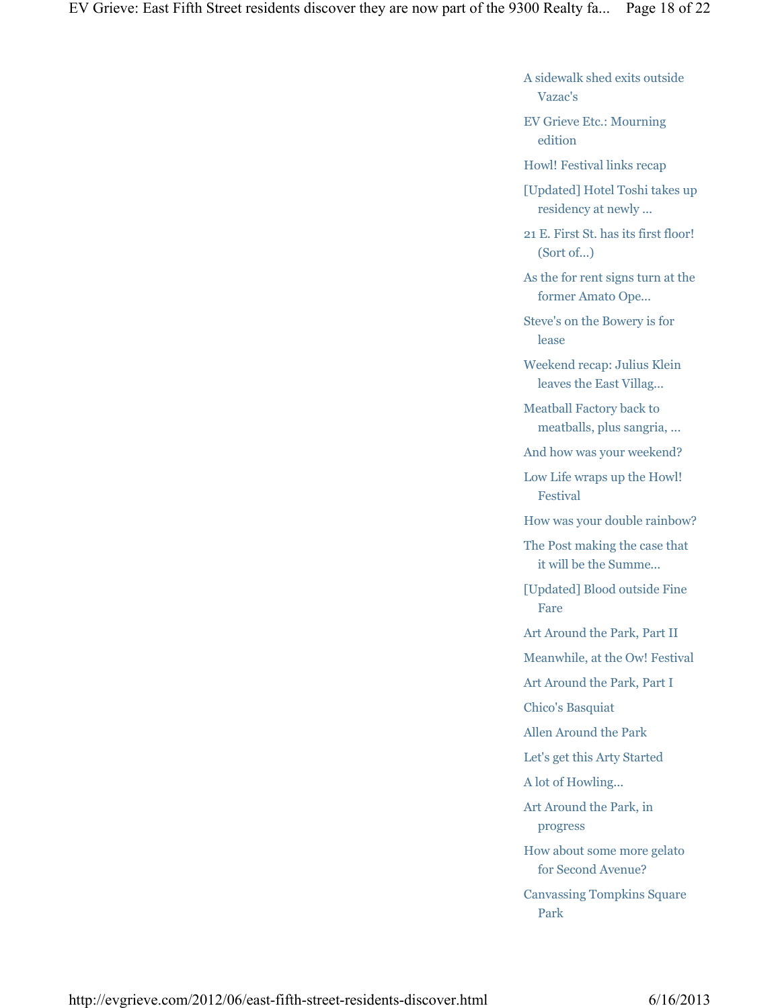A sidewalk shed exits outside Vazac's

EV Grieve Etc.: Mourning edition

Howl! Festival links recap

[Updated] Hotel Toshi takes up residency at newly ...

21 E. First St. has its first floor! (Sort of...)

As the for rent signs turn at the former Amato Ope...

Steve's on the Bowery is for lease

Weekend recap: Julius Klein leaves the East Villag...

Meatball Factory back to meatballs, plus sangria, ...

And how was your weekend?

Low Life wraps up the Howl! Festival

How was your double rainbow?

The Post making the case that it will be the Summe...

[Updated] Blood outside Fine Fare

Art Around the Park, Part II

Meanwhile, at the Ow! Festival

Art Around the Park, Part I

Chico's Basquiat

Allen Around the Park

Let's get this Arty Started

A lot of Howling...

Art Around the Park, in progress

How about some more gelato for Second Avenue?

Canvassing Tompkins Square Park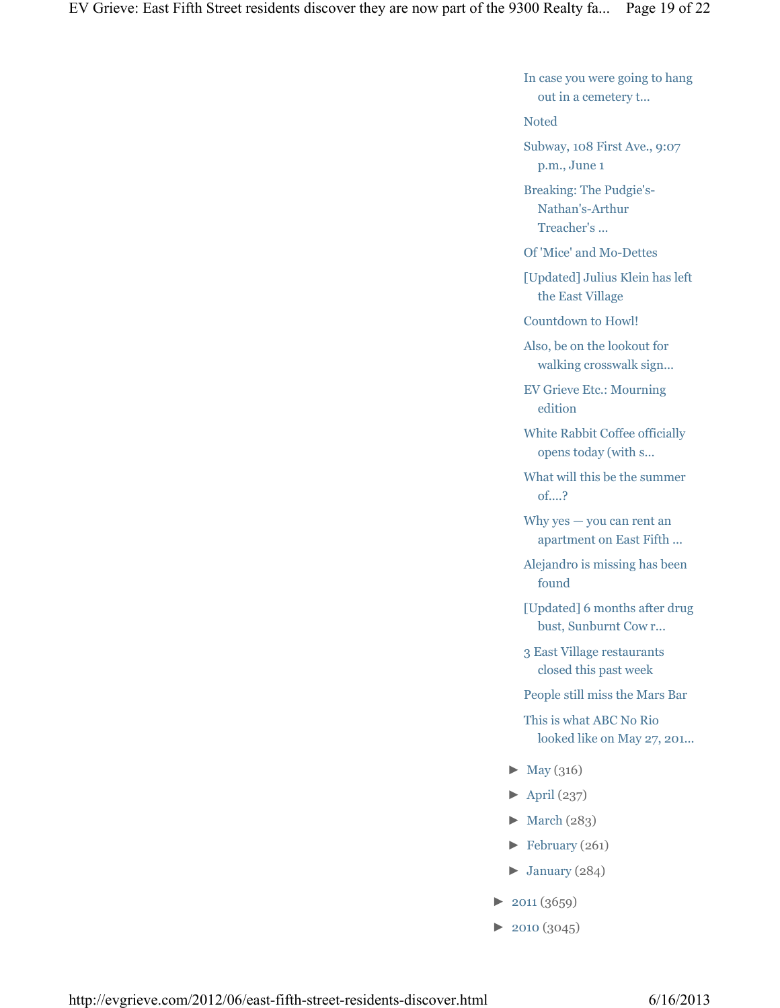In case you were going to hang out in a cemetery t...

Noted

Subway, 108 First Ave., 9:07 p.m., June 1

Breaking: The Pudgie's-Nathan's-Arthur Treacher's ...

Of 'Mice' and Mo-Dettes

[Updated] Julius Klein has left the East Village

Countdown to Howl!

Also, be on the lookout for walking crosswalk sign...

EV Grieve Etc.: Mourning edition

White Rabbit Coffee officially opens today (with s...

What will this be the summer of....?

Why yes — you can rent an apartment on East Fifth ...

Alejandro is missing has been found

[Updated] 6 months after drug bust, Sunburnt Cow r...

3 East Village restaurants closed this past week

People still miss the Mars Bar

This is what ABC No Rio looked like on May 27, 201...

- ► May (316)
- $\blacktriangleright$  April (237)
- $\blacktriangleright$  March (283)
- $\blacktriangleright$  February (261)
- ► January (284)
- $\blacktriangleright$  2011 (3659)
- $\blacktriangleright$  2010 (3045)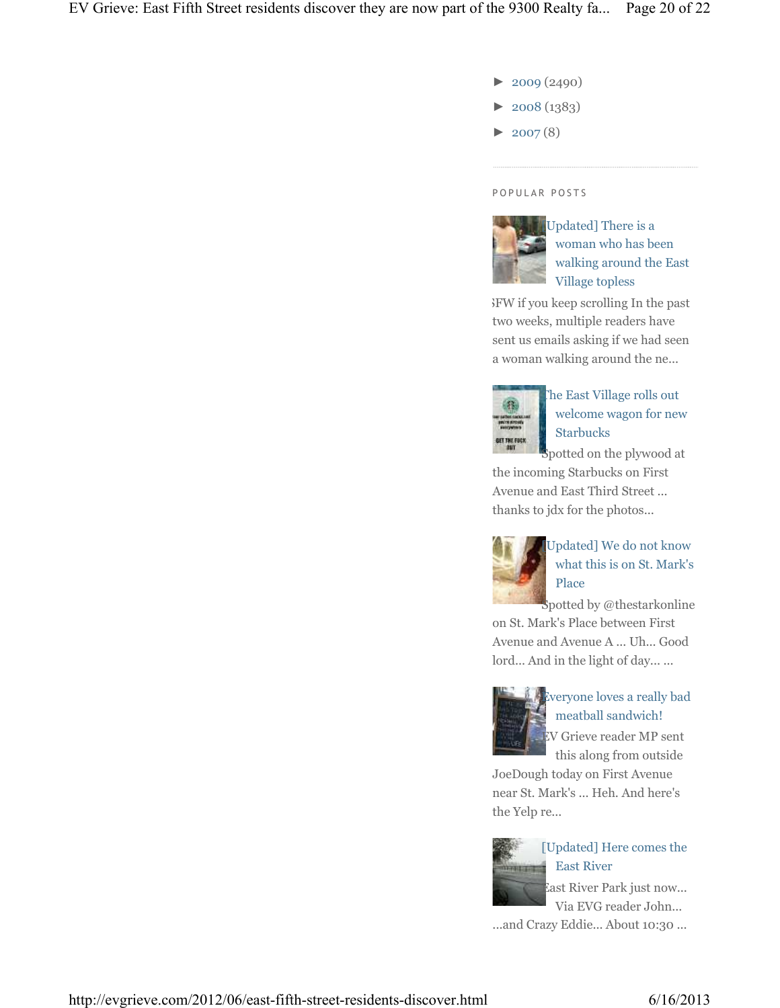- $\blacktriangleright$  2009 (2490)
- ► 2008 (1383)
- $\blacktriangleright$  2007(8)

#### P O P U L A R P O S T S



Updated] There is a woman who has been walking around the East Village topless

NSFW if you keep scrolling In the past two weeks, multiple readers have sent us emails asking if we had seen a woman walking around the ne...



The East Village rolls out welcome wagon for new Starbucks

Spotted on the plywood at the incoming Starbucks on First Avenue and East Third Street ... thanks to jdx for the photos...



## [Updated] We do not know what this is on St. Mark's Place

spotted by @thestarkonline on St. Mark's Place between First Avenue and Avenue A ... Uh... Good lord... And in the light of day... ...



## Everyone loves a really bad meatball sandwich!

EV Grieve reader MP sent this along from outside

JoeDough today on First Avenue near St. Mark's ... Heh. And here's the Yelp re...



### [Updated] Here comes the East River

East River Park just now... Via EVG reader John...

...and Crazy Eddie... About 10:30 ...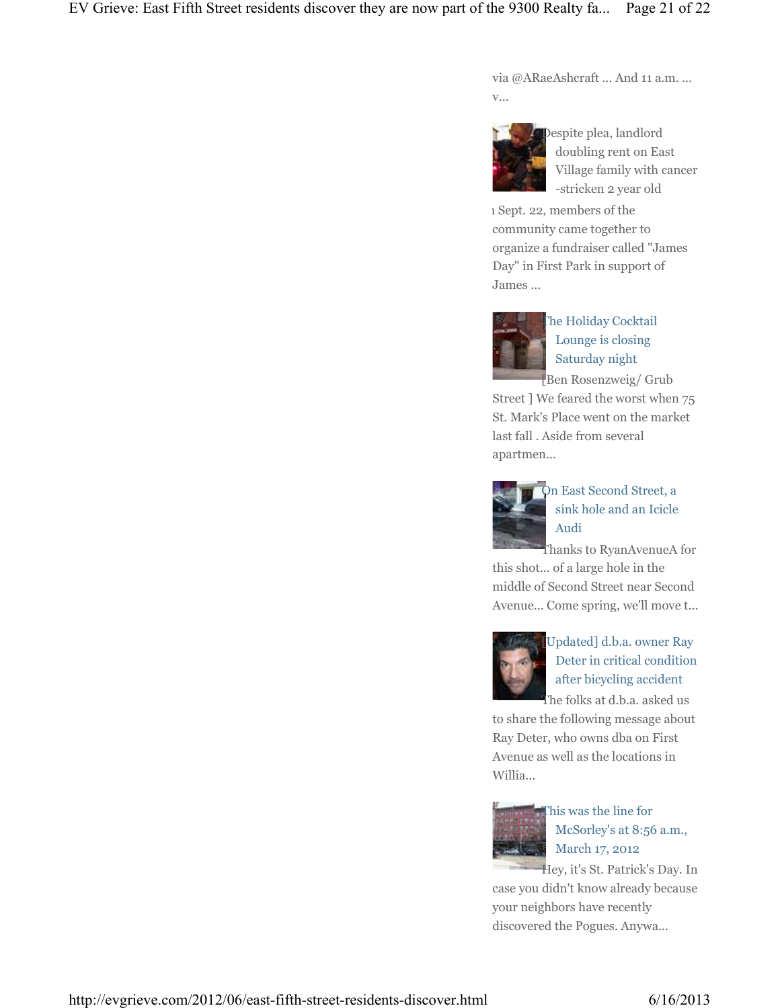via @ARaeAshcraft ... And 11 a.m. ... v...



Despite plea, landlord doubling rent on East Village family with cancer -stricken 2 year old

1 Sept. 22, members of the community came together to organize a fundraiser called "James Day" in First Park in support of James ...



# The Holiday Cocktail Lounge is closing Saturday night

[Ben Rosenzweig/ Grub Street ] We feared the worst when 75 St. Mark's Place went on the market last fall . Aside from several apartmen...



## On East Second Street, a sink hole and an Icicle Audi

Thanks to RyanAvenueA for this shot... of a large hole in the middle of Second Street near Second Avenue... Come spring, we'll move t...



# [Updated] d.b.a. owner Ray Deter in critical condition after bicycling accident

The folks at d.b.a. asked us to share the following message about Ray Deter, who owns dba on First Avenue as well as the locations in Willia...



# This was the line for McSorley's at 8:56 a.m., March 17, 2012

Hey, it's St. Patrick's Day. In case you didn't know already because your neighbors have recently discovered the Pogues. Anywa...